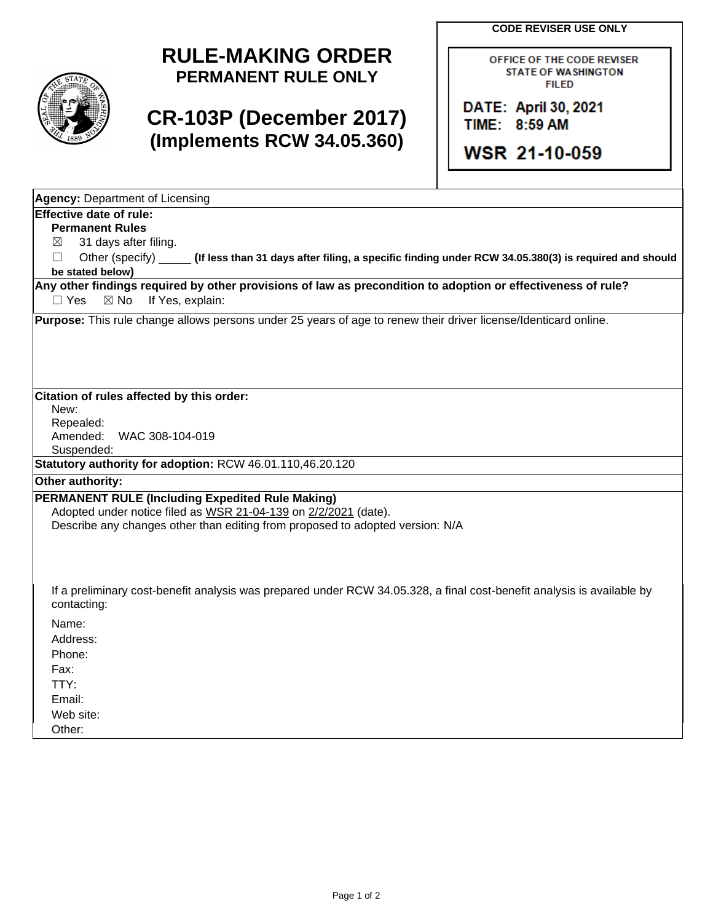**CODE REVISER USE ONLY**



## **RULE-MAKING ORDER PERMANENT RULE ONLY**

## **CR-103P (December 2017) (Implements RCW 34.05.360)**

OFFICE OF THE CODE REVISER **STATE OF WASHINGTON FILED** 

DATE: April 30, 2021 TIME: 8:59 AM

WSR 21-10-059

| <b>Agency: Department of Licensing</b>                                                                                                                                                                      |  |  |  |  |  |  |  |
|-------------------------------------------------------------------------------------------------------------------------------------------------------------------------------------------------------------|--|--|--|--|--|--|--|
| Effective date of rule:                                                                                                                                                                                     |  |  |  |  |  |  |  |
| <b>Permanent Rules</b>                                                                                                                                                                                      |  |  |  |  |  |  |  |
| 31 days after filing.<br>⊠                                                                                                                                                                                  |  |  |  |  |  |  |  |
| Other (specify) ______<br>П<br>(If less than 31 days after filing, a specific finding under RCW 34.05.380(3) is required and should                                                                         |  |  |  |  |  |  |  |
| be stated below)                                                                                                                                                                                            |  |  |  |  |  |  |  |
| Any other findings required by other provisions of law as precondition to adoption or effectiveness of rule?<br>If Yes, explain:<br>$\Box$ Yes<br>$\boxtimes$ No                                            |  |  |  |  |  |  |  |
| Purpose: This rule change allows persons under 25 years of age to renew their driver license/Identicard online.                                                                                             |  |  |  |  |  |  |  |
|                                                                                                                                                                                                             |  |  |  |  |  |  |  |
| Citation of rules affected by this order:                                                                                                                                                                   |  |  |  |  |  |  |  |
| New:<br>Repealed:                                                                                                                                                                                           |  |  |  |  |  |  |  |
| Amended:<br>WAC 308-104-019                                                                                                                                                                                 |  |  |  |  |  |  |  |
| Suspended:                                                                                                                                                                                                  |  |  |  |  |  |  |  |
| Statutory authority for adoption: RCW 46.01.110,46.20.120                                                                                                                                                   |  |  |  |  |  |  |  |
| Other authority:                                                                                                                                                                                            |  |  |  |  |  |  |  |
| <b>PERMANENT RULE (Including Expedited Rule Making)</b><br>Adopted under notice filed as WSR 21-04-139 on 2/2/2021 (date).<br>Describe any changes other than editing from proposed to adopted version: N/A |  |  |  |  |  |  |  |
| If a preliminary cost-benefit analysis was prepared under RCW 34.05.328, a final cost-benefit analysis is available by<br>contacting:                                                                       |  |  |  |  |  |  |  |
| Name:                                                                                                                                                                                                       |  |  |  |  |  |  |  |
| Address:                                                                                                                                                                                                    |  |  |  |  |  |  |  |
| Phone:                                                                                                                                                                                                      |  |  |  |  |  |  |  |
| Fax:                                                                                                                                                                                                        |  |  |  |  |  |  |  |
| TTY:                                                                                                                                                                                                        |  |  |  |  |  |  |  |
| Email:                                                                                                                                                                                                      |  |  |  |  |  |  |  |
| Web site:                                                                                                                                                                                                   |  |  |  |  |  |  |  |
| Other:                                                                                                                                                                                                      |  |  |  |  |  |  |  |
|                                                                                                                                                                                                             |  |  |  |  |  |  |  |